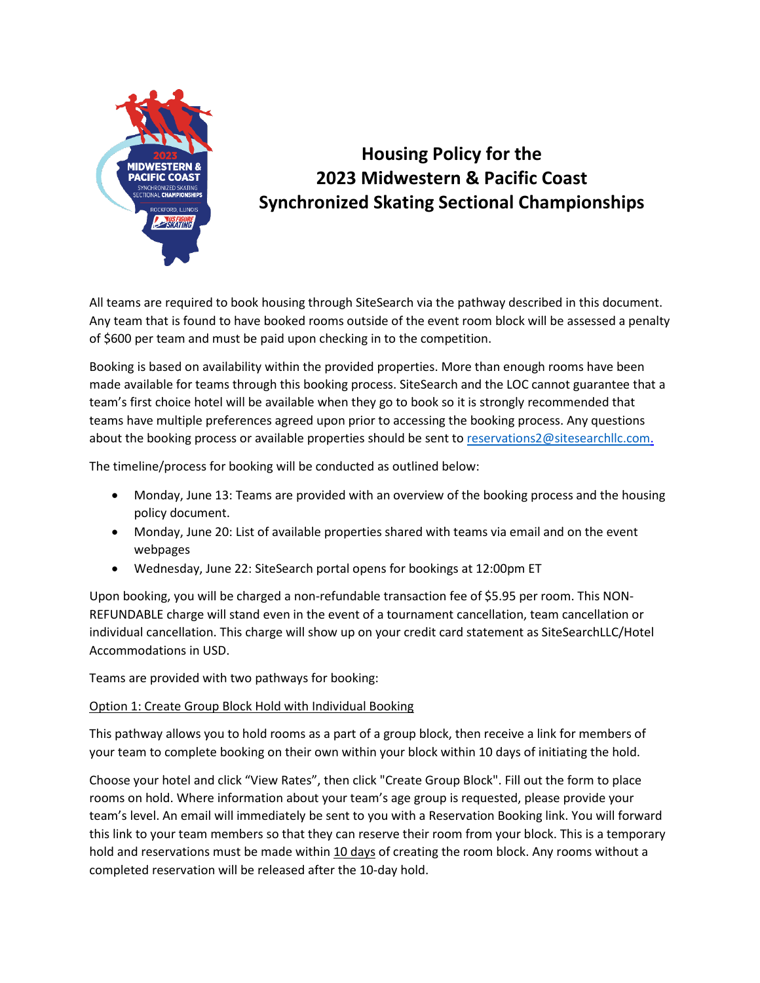

# **Housing Policy for the 2023 Midwestern & Pacific Coast Synchronized Skating Sectional Championships**

All teams are required to book housing through SiteSearch via the pathway described in this document. Any team that is found to have booked rooms outside of the event room block will be assessed a penalty of \$600 per team and must be paid upon checking in to the competition.

Booking is based on availability within the provided properties. More than enough rooms have been made available for teams through this booking process. SiteSearch and the LOC cannot guarantee that a team's first choice hotel will be available when they go to book so it is strongly recommended that teams have multiple preferences agreed upon prior to accessing the booking process. Any questions about the booking process or available properties should be sent to [reservations2@sitesearchllc.com.](mailto:reservations2@sitesearchllc.com)

The timeline/process for booking will be conducted as outlined below:

- Monday, June 13: Teams are provided with an overview of the booking process and the housing policy document.
- Monday, June 20: List of available properties shared with teams via email and on the event webpages
- Wednesday, June 22: SiteSearch portal opens for bookings at 12:00pm ET

Upon booking, you will be charged a non-refundable transaction fee of \$5.95 per room. This NON-REFUNDABLE charge will stand even in the event of a tournament cancellation, team cancellation or individual cancellation. This charge will show up on your credit card statement as SiteSearchLLC/Hotel Accommodations in USD.

Teams are provided with two pathways for booking:

## Option 1: Create Group Block Hold with Individual Booking

This pathway allows you to hold rooms as a part of a group block, then receive a link for members of your team to complete booking on their own within your block within 10 days of initiating the hold.

Choose your hotel and click "View Rates", then click "Create Group Block". Fill out the form to place rooms on hold. Where information about your team's age group is requested, please provide your team's level. An email will immediately be sent to you with a Reservation Booking link. You will forward this link to your team members so that they can reserve their room from your block. This is a temporary hold and reservations must be made within 10 days of creating the room block. Any rooms without a completed reservation will be released after the 10-day hold.